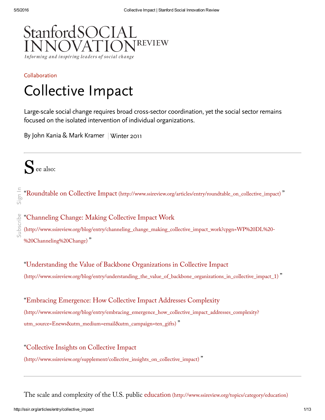

# [Collaboration](http://ssir.org/articles/category/collaboration) Collective Impact

Large-scale social change requires broad cross-sector coordination, yet the social sector remains focused on the isolated intervention of individual organizations.

By John Kania & Mark Kramer | [Winter](http://ssir.org/issue/winter_2011) 2011

S<sup>®</sup> ee also:

subscribe

[Subscribe](http://ssir.org/site/subscribe_popup) [Sign](http://ssir.org/site/login_popup) InSign In "Roundtable on Collective Impact [\(http://www.ssireview.org/articles/entry/roundtable\\_on\\_collective\\_impact\)](http://www.ssireview.org/articles/entry/roundtable_on_collective_impact) "

"Channeling Change: Making Collective Impact Work

[\(http://www.ssireview.org/blog/entry/channeling\\_change\\_making\\_collective\\_impact\\_work?cpgn=WP%20DL%20-](http://www.ssireview.org/blog/entry/channeling_change_making_collective_impact_work?cpgn=WP%20DL%20-%20Channeling%20Change) %20Channeling%20Change) "

"Understanding the Value of Backbone Organizations in Collective Impact [\(http://www.ssireview.org/blog/entry/understanding\\_the\\_value\\_of\\_backbone\\_organizations\\_in\\_collective\\_impact\\_1\)](http://www.ssireview.org/blog/entry/understanding_the_value_of_backbone_organizations_in_collective_impact_1) "

"Embracing Emergence: How Collective Impact Addresses Complexity [\(http://www.ssireview.org/blog/entry/embracing\\_emergence\\_how\\_collective\\_impact\\_addresses\\_complexity?](http://www.ssireview.org/blog/entry/embracing_emergence_how_collective_impact_addresses_complexity?utm_source=Enews&utm_medium=email&utm_campaign=ten_gifts) utm\_source=Enews&utm\_medium=email&utm\_campaign=ten\_gifts) "

"Collective Insights on Collective Impact [\(http://www.ssireview.org/supplement/collective\\_insights\\_on\\_collective\\_impact\)](http://www.ssireview.org/supplement/collective_insights_on_collective_impact) "

The scale and complexity of the U.S. public education [\(http://www.ssireview.org/topics/category/education\)](http://www.ssireview.org/topics/category/education)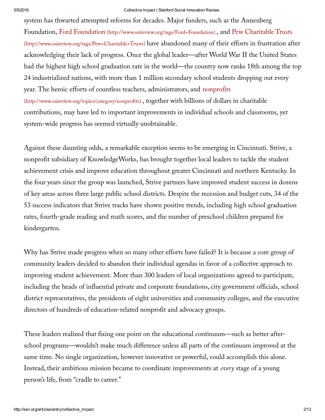system has thwarted attempted reforms for decades. Major funders, such as the Annenberg Foundation, Ford Foundation [\(http://www.ssireview.org/tags/Ford+Foundation\)](http://www.ssireview.org/tags/Ford+Foundation) , and Pew Charitable Trusts [\(http://www.ssireview.org/tags/Pew+Charitable+Trusts\)](http://www.ssireview.org/tags/Pew+Charitable+Trusts) have abandoned many of their efforts in frustration after acknowledging their lack of progress. Once the global leader—after World War II the United States had the highest high school graduation rate in the world—the country now ranks 18th among the top 24 industrialized nations, with more than 1 million secondary school students dropping out every year. The heroic efforts of countless teachers, administrators, and nonprofits [\(http://www.ssireview.org/topics/category/nonprofits\)](http://www.ssireview.org/topics/category/nonprofits) , together with billions of dollars in charitable contributions, may have led to important improvements in individual schools and classrooms, yet system-wide progress has seemed virtually unobtainable.

Against these daunting odds, a remarkable exception seems to be emerging in Cincinnati. Strive, a nonprofit subsidiary of KnowledgeWorks, has brought together local leaders to tackle the student achievement crisis and improve education throughout greater Cincinnati and northern Kentucky. In the four years since the group was launched, Strive partners have improved student success in dozens of key areas across three large public school districts. Despite the recession and budget cuts, 34 of the 53 success indicators that Strive tracks have shown positive trends, including high school graduation rates, fourth-grade reading and math scores, and the number of preschool children prepared for kindergarten.

Why has Strive made progress when so many other efforts have failed? It is because a core group of community leaders decided to abandon their individual agendas in favor of a collective approach to improving student achievement. More than 300 leaders of local organizations agreed to participate, including the heads of influential private and corporate foundations, city government officials, school district representatives, the presidents of eight universities and community colleges, and the executive directors of hundreds of education-related nonprofit and advocacy groups.

These leaders realized that fixing one point on the educational continuum—such as better afterschool programs—wouldn't make much difference unless all parts of the continuum improved at the same time. No single organization, however innovative or powerful, could accomplish this alone. Instead, their ambitious mission became to coordinate improvements at *every* stage of a young person's life, from "cradle to career."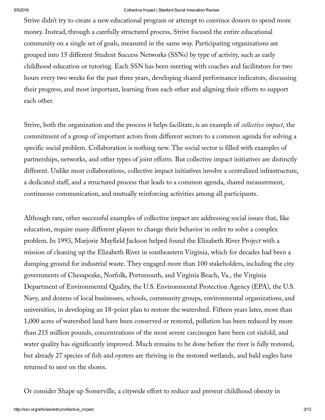Strive didn't try to create a new educational program or attempt to convince donors to spend more money. Instead, through a carefully structured process, Strive focused the entire educational community on a single set of goals, measured in the same way. Participating organizations are grouped into 15 different Student Success Networks (SSNs) by type of activity, such as early childhood education or tutoring. Each SSN has been meeting with coaches and facilitators for two hours every two weeks for the past three years, developing shared performance indicators, discussing their progress, and most important, learning from each other and aligning their efforts to support each other.

Strive, both the organization and the process it helps facilitate, is an example of *collective impact*, the commitment of a group of important actors from different sectors to a common agenda for solving a specific social problem. Collaboration is nothing new. The social sector is filled with examples of partnerships, networks, and other types of joint efforts. But collective impact initiatives are distinctly different. Unlike most collaborations, collective impact initiatives involve a centralized infrastructure, a dedicated staff, and a structured process that leads to a common agenda, shared measurement, continuous communication, and mutually reinforcing activities among all participants.

Although rare, other successful examples of collective impact are addressing social issues that, like education, require many different players to change their behavior in order to solve a complex problem.In 1993, Marjorie Mayfield Jackson helped found the Elizabeth River Project with a mission of cleaning up the Elizabeth River in southeastern Virginia, which for decades had been a dumping ground for industrial waste. They engaged more than 100 stakeholders, including the city governments of Chesapeake, Norfolk, Portsmouth, and Virginia Beach, Va., the Virginia Department of Environmental Quality, the U.S. Environmental Protection Agency (EPA), the U.S. Navy, and dozens of local businesses, schools, community groups, environmental organizations, and universities, in developing an 18-point plan to restore the watershed. Fifteen years later, more than 1,000 acres of watershed land have been conserved or restored, pollution has been reduced by more than 215 million pounds, concentrations of the most severe carcinogen have been cut sixfold, and water quality has significantly improved. Much remains to be done before the river is fully restored, but already 27 species of fish and oysters are thriving in the restored wetlands, and bald eagles have returned to nest on the shores.

Or consider Shape up Somerville, a citywide effort to reduce and prevent childhood obesity in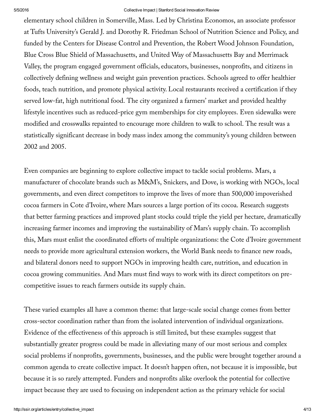elementary school children in Somerville, Mass. Led by Christina Economos, an associate professor at Tufts University's Gerald J. and Dorothy R. Friedman School of Nutrition Science and Policy, and funded by the Centers for Disease Control and Prevention, the Robert Wood Johnson Foundation, Blue Cross Blue Shield of Massachusetts, and United Way of Massachusetts Bay and Merrimack Valley, the program engaged government officials, educators, businesses, nonprofits, and citizens in collectively defining wellness and weight gain prevention practices. Schools agreed to offer healthier foods, teach nutrition, and promote physical activity. Local restaurants received a certification if they served low-fat, high nutritional food. The city organized a farmers' market and provided healthy lifestyle incentives such as reduced-price gym memberships for city employees. Even sidewalks were modified and crosswalks repainted to encourage more children to walk to school. The result was a statistically significant decrease in body mass index among the community's young children between 2002 and 2005.

Even companies are beginning to explore collective impact to tackle social problems. Mars, a manufacturer of chocolate brands such as M&M's, Snickers, and Dove, is working with NGOs, local governments, and even direct competitors to improve the lives of more than 500,000 impoverished cocoa farmers in Cote d'Ivoire, where Mars sources a large portion of its cocoa. Research suggests that better farming practices and improved plant stocks could triple the yield per hectare, dramatically increasing farmer incomes and improving the sustainability of Mars's supply chain. To accomplish this, Mars must enlist the coordinated efforts of multiple organizations: the Cote d'Ivoire government needs to provide more agricultural extension workers, the World Bank needs to finance new roads, and bilateral donors need to support NGOs in improving health care, nutrition, and education in cocoa growing communities. And Mars must find ways to work with its direct competitors on precompetitive issues to reach farmers outside its supply chain.

These varied examples all have a common theme: that large-scale social change comes from better cross-sector coordination rather than from the isolated intervention of individual organizations. Evidence of the effectiveness of this approach is still limited, but these examples suggest that substantially greater progress could be made in alleviating many of our most serious and complex social problems if nonprofits, governments, businesses, and the public were brought together around a common agenda to create collective impact. It doesn't happen often, not because it is impossible, but because it is so rarely attempted. Funders and nonprofits alike overlook the potential for collective impact because they are used to focusing on independent action as the primary vehicle for social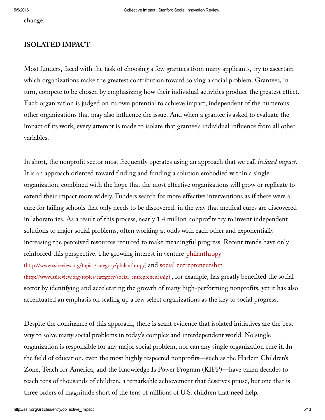change.

## **ISOLATED IMPACT**

Most funders, faced with the task of choosing a few grantees from many applicants, try to ascertain which organizations make the greatest contribution toward solving a social problem. Grantees, in turn, compete to be chosen by emphasizing how their individual activities produce the greatest effect. Each organization is judged on its own potential to achieve impact, independent of the numerous other organizations that may also influence the issue. And when a grantee is asked to evaluate the impact of its work, every attempt is made to isolate that grantee's individual influence from all other variables.

In short, the nonprofit sector most frequently operates using an approach that we call *isolated impact*. It is an approach oriented toward finding and funding a solution embodied within a single organization, combined with the hope that the most effective organizations will grow or replicate to extend their impact more widely. Funders search for more effective interventions as if there were a cure for failing schools that only needs to be discovered, in the way that medical cures are discovered in laboratories. As a result of this process, nearly 1.4 million nonprofits try to invent independent solutions to major social problems, often working at odds with each other and exponentially increasing the perceived resources required to make meaningful progress. Recent trends have only reinforced this perspective.The growing interest in venture philanthropy [\(http://www.ssireview.org/topics/category/philanthropy\)](http://www.ssireview.org/topics/category/philanthropy) and social entrepreneurship

[\(http://www.ssireview.org/topics/category/social\\_entrepreneurship\)](http://www.ssireview.org/topics/category/social_entrepreneurship) , for example, has greatly benefited the social sector by identifying and accelerating the growth of many high-performing nonprofits, yet it has also accentuated an emphasis on scaling up a few select organizations as the key to social progress.

Despite the dominance of this approach, there is scant evidence that isolated initiatives are the best way to solve many social problems in today's complex and interdependent world. No single organization is responsible for any major social problem, nor can any single organization cure it. In the field of education, even the most highly respected nonprofits—such as the Harlem Children's Zone, Teach for America, and the Knowledge Is Power Program (KIPP)—have taken decades to reach tens of thousands of children, a remarkable achievement that deserves praise, but one that is three orders of magnitude short of the tens of millions of U.S. children that need help.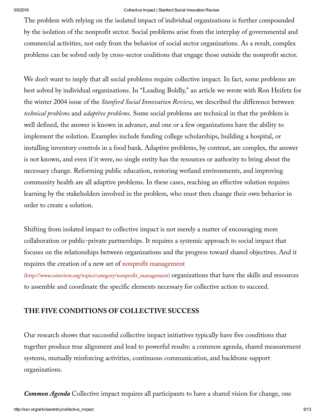The problem with relying on the isolated impact of individual organizations is further compounded by the isolation of the nonprofit sector. Social problems arise from the interplay of governmental and commercial activities, not only from the behavior of social sector organizations. As a result, complex problems can be solved only by cross-sector coalitions that engage those outside the nonprofit sector.

We don't want to imply that all social problems require collective impact. In fact, some problems are best solved by individual organizations. In "Leading Boldly," an article we wrote with Ron Heifetz for the winter 2004 issue of the *Stanford Social Innovation Review*, we described the difference between *technical problems* and *adaptive problems*. Some social problems are technical in that the problem is well defined, the answer is known in advance, and one or a few organizations have the ability to implement the solution. Examples include funding college scholarships, building a hospital, or installing inventory controls in a food bank. Adaptive problems, by contrast, are complex, the answer is not known, and even if it were, no single entity has the resources or authority to bring about the necessary change. Reforming public education, restoring wetland environments, and improving community health are all adaptive problems. In these cases, reaching an effective solution requires learning by the stakeholders involved in the problem, who must then change their own behavior in order to create a solution.

Shifting from isolated impact to collective impact is not merely a matter of encouraging more collaboration or public-private partnerships. It requires a systemic approach to social impact that focuses on the relationships between organizations and the progress toward shared objectives. And it requires the creation of a new set of nonprofit management

[\(http://www.ssireview.org/topics/category/nonprofit\\_management\)](http://www.ssireview.org/topics/category/nonprofit_management) organizations that have the skills and resources to assemble and coordinate the specific elements necessary for collective action to succeed.

## **THE FIVE CONDITIONS OF COLLECTIVE SUCCESS**

Our research shows that successful collective impact initiatives typically have five conditions that together produce true alignment and lead to powerful results: a common agenda, shared measurement systems, mutually reinforcing activities, continuous communication, and backbone support organizations.

*Common Agenda* Collective impact requires all participants to have a shared vision for change, one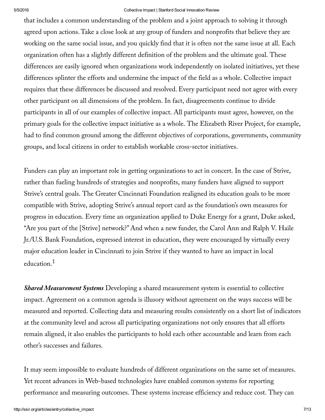that includes a common understanding of the problem and a joint approach to solving it through agreed upon actions.Take a close look at any group of funders and nonprofits that believe they are working on the same social issue, and you quickly find that it is often not the same issue at all. Each organization often has a slightly different definition of the problem and the ultimate goal. These differences are easily ignored when organizations work independently on isolated initiatives, yet these differences splinter the efforts and undermine the impact of the field as a whole. Collective impact requires that these differences be discussed and resolved. Every participant need not agree with every other participant on all dimensions of the problem. In fact, disagreements continue to divide participants in all of our examples of collective impact. All participants must agree, however, on the primary goals for the collective impact initiative as a whole. The Elizabeth River Project, for example, had to find common ground among the different objectives of corporations, governments, community groups, and local citizens in order to establish workable cross-sector initiatives.

Funders can play an important role in getting organizations to act in concert. In the case of Strive, rather than fueling hundreds of strategies and nonprofits, many funders have aligned to support Strive's central goals. The Greater Cincinnati Foundation realigned its education goals to be more compatible with Strive, adopting Strive's annual report card as the foundation's own measures for progress in education. Every time an organization applied to Duke Energy for a grant, Duke asked, "Are you part of the [Strive] network?" And when a new funder, the Carol Ann and Ralph V. Haile Jr./U.S. Bank Foundation, expressed interest in education, they were encouraged by virtually every major education leader in Cincinnati to join Strive if they wanted to have an impact in local education. 1

*Shared Measurement Systems* Developing a shared measurement system is essential to collective impact. Agreement on a common agenda is illusory without agreement on the ways success will be measured and reported. Collecting data and measuring results consistently on a short list of indicators at the community level and across all participating organizations not only ensures that all efforts remain aligned, it also enables the participants to hold each other accountable and learn from each other's successes and failures.

It may seem impossible to evaluate hundreds of different organizations on the same set of measures. Yet recent advances in Web-based technologies have enabled common systems for reporting performance and measuring outcomes. These systems increase efficiency and reduce cost. They can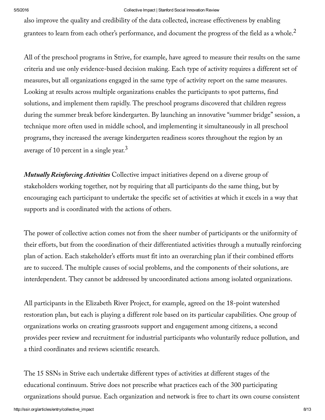also improve the quality and credibility of the data collected, increase effectiveness by enabling grantees to learn from each other's performance, and document the progress of the field as a whole. $^2$ 

All of the preschool programs in Strive, for example, have agreed to measure their results on the same criteria and use only evidence-based decision making. Each type of activity requires a different set of measures, but all organizations engaged in the same type of activity report on the same measures. Looking at results across multiple organizations enables the participants to spot patterns, find solutions, and implement them rapidly. The preschool programs discovered that children regress during the summer break before kindergarten. By launching an innovative "summer bridge" session, a technique more often used in middle school, and implementing it simultaneously in all preschool programs, they increased the average kindergarten readiness scores throughout the region by an average of 10 percent in a single year. $^3$ 

*Mutually Reinforcing Activities* Collective impact initiatives depend on a diverse group of stakeholders working together, not by requiring that all participants do the same thing, but by encouraging each participant to undertake the specific set of activities at which it excels in a way that supports and is coordinated with the actions of others.

The power of collective action comes not from the sheer number of participants or the uniformity of their efforts, but from the coordination of their differentiated activities through a mutually reinforcing plan of action. Each stakeholder's efforts must fit into an overarching plan if their combined efforts are to succeed. The multiple causes of social problems, and the components of their solutions, are interdependent. They cannot be addressed by uncoordinated actions among isolated organizations.

All participants in the Elizabeth River Project, for example, agreed on the 18-point watershed restoration plan, but each is playing a different role based on its particular capabilities. One group of organizations works on creating grassroots support and engagement among citizens, a second provides peer review and recruitment for industrial participants who voluntarily reduce pollution, and a third coordinates and reviews scientific research.

The 15 SSNs in Strive each undertake different types of activities at different stages of the educational continuum. Strive does not prescribe what practices each of the 300 participating organizations should pursue. Each organization and network is free to chart its own course consistent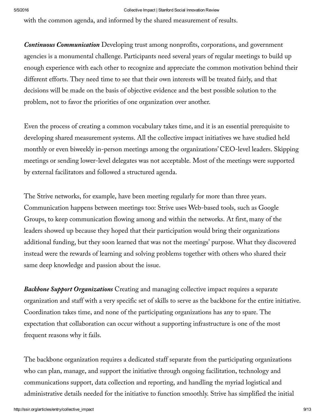with the common agenda, and informed by the shared measurement of results.

*Continuous Communication* Developing trust among nonprofits, corporations, and government agencies is a monumental challenge. Participants need several years of regular meetings to build up enough experience with each other to recognize and appreciate the common motivation behind their different efforts. They need time to see that their own interests will be treated fairly, and that decisions will be made on the basis of objective evidence and the best possible solution to the problem, not to favor the priorities of one organization over another.

Even the process of creating a common vocabulary takes time, and it is an essential prerequisite to developing shared measurement systems. All the collective impact initiatives we have studied held monthly or even biweekly in-person meetings among the organizations' CEO-level leaders. Skipping meetings or sending lower-level delegates was not acceptable. Most of the meetings were supported by external facilitators and followed a structured agenda.

The Strive networks, for example, have been meeting regularly for more than three years. Communication happens between meetings too: Strive uses Web-based tools, such as Google Groups, to keep communication flowing among and within the networks. At first, many of the leaders showed up because they hoped that their participation would bring their organizations additional funding, but they soon learned that was not the meetings' purpose. What they discovered instead were the rewards of learning and solving problems together with others who shared their same deep knowledge and passion about the issue.

*Backbone Support Organizations* Creating and managing collective impact requires a separate organization and staff with a very specific set of skills to serve as the backbone for the entire initiative. Coordination takes time, and none of the participating organizations has any to spare. The expectation that collaboration can occur without a supporting infrastructure is one of the most frequent reasons why it fails.

The backbone organization requires a dedicated staff separate from the participating organizations who can plan, manage, and support the initiative through ongoing facilitation, technology and communications support, data collection and reporting, and handling the myriad logistical and administrative details needed for the initiative to function smoothly. Strive has simplified the initial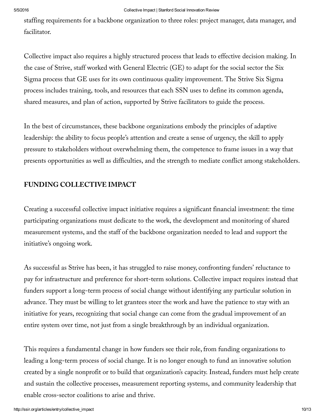staffing requirements for a backbone organization to three roles: project manager, data manager, and facilitator.

Collective impact also requires a highly structured process that leads to effective decision making. In the case of Strive, staff worked with General Electric (GE) to adapt for the social sector the Six Sigma process that GE uses for its own continuous quality improvement. The Strive Six Sigma process includes training, tools, and resources that each SSN uses to define its common agenda, shared measures, and plan of action, supported by Strive facilitators to guide the process.

In the best of circumstances, these backbone organizations embody the principles of adaptive leadership: the ability to focus people's attention and create a sense of urgency, the skill to apply pressure to stakeholders without overwhelming them, the competence to frame issues in a way that presents opportunities as well as difficulties, and the strength to mediate conflict among stakeholders.

# **FUNDING COLLECTIVE IMPACT**

Creating a successful collective impact initiative requires a significant financial investment: the time participating organizations must dedicate to the work, the development and monitoring of shared measurement systems, and the staff of the backbone organization needed to lead and support the initiative's ongoing work.

As successful as Strive has been, it has struggled to raise money, confronting funders' reluctance to pay for infrastructure and preference for short-term solutions. Collective impact requires instead that funders support a long-term process of social change without identifying any particular solution in advance. They must be willing to let grantees steer the work and have the patience to stay with an initiative for years, recognizing that social change can come from the gradual improvement of an entire system over time, not just from a single breakthrough by an individual organization.

This requires a fundamental change in how funders see their role, from funding organizations to leading a long-term process of social change. It is no longer enough to fund an innovative solution created by a single nonprofit or to build that organization's capacity. Instead, funders must help create and sustain the collective processes, measurement reporting systems, and community leadership that enable cross-sector coalitions to arise and thrive.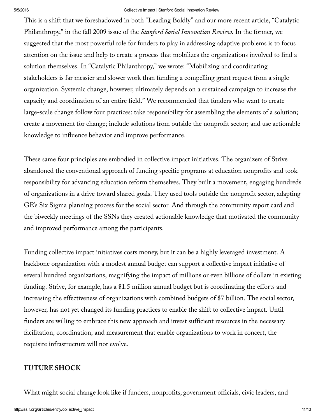This is a shift that we foreshadowed in both "Leading Boldly" and our more recent article, "Catalytic Philanthropy," in the fall 2009 issue of the *Stanford Social Innovation Review*. In the former, we suggested that the most powerful role for funders to play in addressing adaptive problems is to focus attention on the issue and help to create a process that mobilizes the organizations involved to find a solution themselves. In "Catalytic Philanthropy," we wrote: "Mobilizing and coordinating stakeholders is far messier and slower work than funding a compelling grant request from a single organization. Systemic change, however, ultimately depends on a sustained campaign to increase the capacity and coordination of an entire field." We recommended that funders who want to create large-scale change follow four practices: take responsibility for assembling the elements of a solution; create a movement for change; include solutions from outside the nonprofit sector; and use actionable knowledge to influence behavior and improve performance.

These same four principles are embodied in collective impact initiatives. The organizers of Strive abandoned the conventional approach of funding specific programs at education nonprofits and took responsibility for advancing education reform themselves. They built a movement, engaging hundreds of organizations in a drive toward shared goals. They used tools outside the nonprofit sector, adapting GE's Six Sigma planning process for the social sector. And through the community report card and the biweekly meetings of the SSNs they created actionable knowledge that motivated the community and improved performance among the participants.

Funding collective impact initiatives costs money, but it can be a highly leveraged investment. A backbone organization with a modest annual budget can support a collective impact initiative of several hundred organizations, magnifying the impact of millions or even billions of dollars in existing funding. Strive, for example, has a \$1.5 million annual budget but is coordinating the efforts and increasing the effectiveness of organizations with combined budgets of \$7 billion. The social sector, however, has not yet changed its funding practices to enable the shift to collective impact. Until funders are willing to embrace this new approach and invest sufficient resources in the necessary facilitation, coordination, and measurement that enable organizations to work in concert, the requisite infrastructure will not evolve.

## **FUTURE SHOCK**

What might social change look like if funders, nonprofits, government officials, civic leaders, and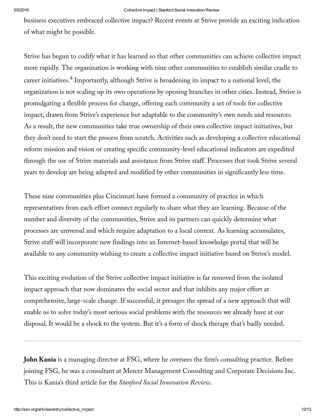business executives embraced collective impact? Recent events at Strive provide an exciting indication of what might be possible.

Strive has begun to codify what it has learned so that other communities can achieve collective impact more rapidly. The organization is working with nine other communities to establish similar cradle to career initiatives.<sup>4</sup> Importantly, although Strive is broadening its impact to a national level, the organization is not scaling up its own operations by opening branches in other cities. Instead, Strive is promulgating a flexible process for change, offering each community a set of tools for collective impact, drawn from Strive's experience but adaptable to the community's own needs and resources. As a result, the new communities take true ownership of their own collective impact initiatives, but they don't need to start the process from scratch. Activities such as developing a collective educational reform mission and vision or creating specific community-level educational indicators are expedited through the use of Strive materials and assistance from Strive staff. Processes that took Strive several years to develop are being adapted and modified by other communities in significantly less time.

These nine communities plus Cincinnati have formed a community of practice in which representatives from each effort connect regularly to share what they are learning. Because of the number and diversity of the communities, Strive and its partners can quickly determine what processes are universal and which require adaptation to a local context. As learning accumulates, Strive staff will incorporate new findings into an Internet-based knowledge portal that will be available to any community wishing to create a collective impact initiative based on Strive's model.

This exciting evolution of the Strive collective impact initiative is far removed from the isolated impact approach that now dominates the social sector and that inhibits any major effort at comprehensive, large-scale change. If successful, it presages the spread of a new approach that will enable us to solve today's most serious social problems with the resources we already have at our disposal.It would be a shock to the system. But it's a form of shock therapy that's badly needed.

**John Kania** is a managing director at FSG, where he oversees the firm's consulting practice. Before joining FSG, he was a consultant at Mercer Management Consulting and Corporate Decisions Inc. This is Kania's third article for the *Stanford Social Innovation Review*.